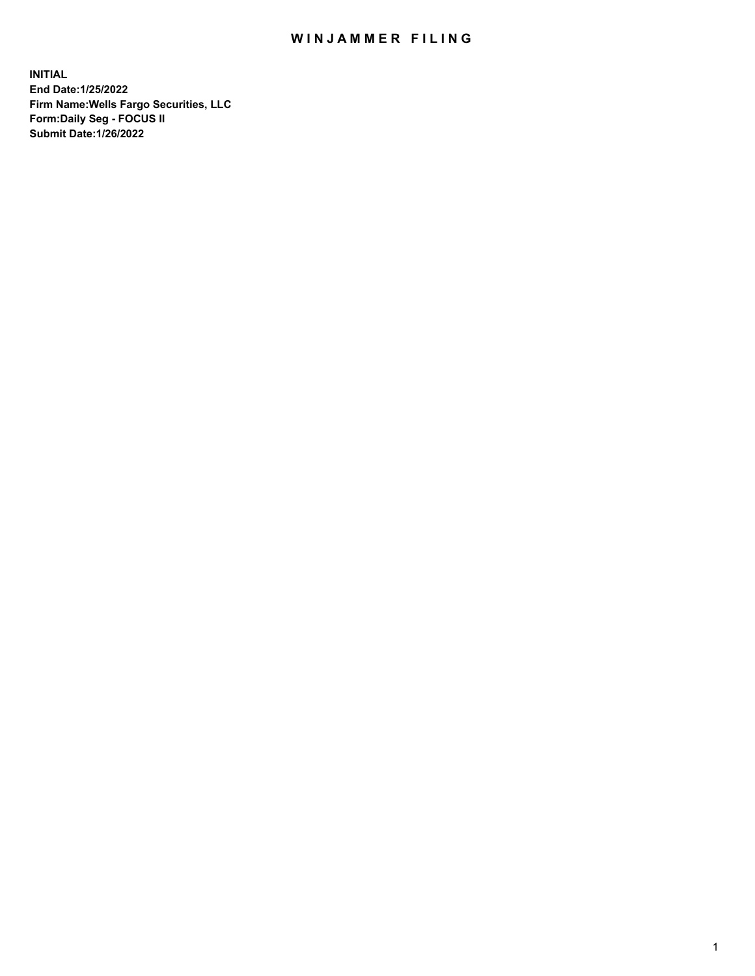## WIN JAMMER FILING

**INITIAL End Date:1/25/2022 Firm Name:Wells Fargo Securities, LLC Form:Daily Seg - FOCUS II Submit Date:1/26/2022**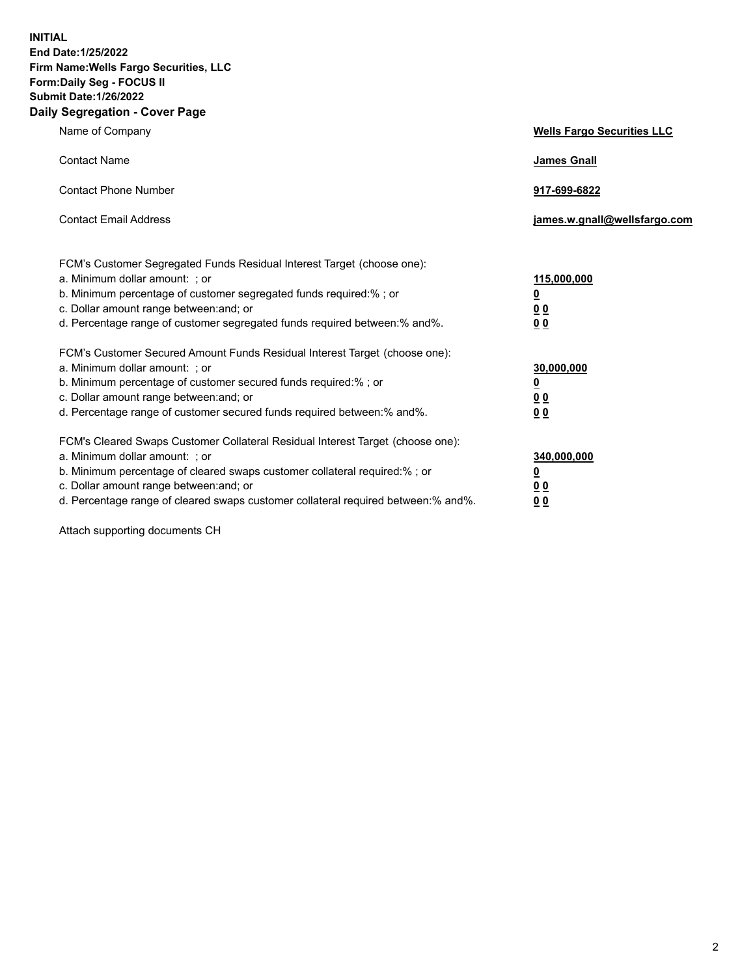**INITIAL End Date:1/25/2022 Firm Name:Wells Fargo Securities, LLC Form:Daily Seg - FOCUS II Submit Date:1/26/2022 Daily Segregation - Cover Page**

| Name of Company                                                                                                                                                                                                                                                                                                                | <b>Wells Fargo Securities LLC</b>                          |
|--------------------------------------------------------------------------------------------------------------------------------------------------------------------------------------------------------------------------------------------------------------------------------------------------------------------------------|------------------------------------------------------------|
| <b>Contact Name</b>                                                                                                                                                                                                                                                                                                            | <b>James Gnall</b>                                         |
| <b>Contact Phone Number</b>                                                                                                                                                                                                                                                                                                    | 917-699-6822                                               |
| <b>Contact Email Address</b>                                                                                                                                                                                                                                                                                                   | james.w.gnall@wellsfargo.com                               |
| FCM's Customer Segregated Funds Residual Interest Target (choose one):<br>a. Minimum dollar amount: ; or<br>b. Minimum percentage of customer segregated funds required:% ; or<br>c. Dollar amount range between: and; or<br>d. Percentage range of customer segregated funds required between:% and%.                         | 115,000,000<br><u>0</u><br>0 <sub>0</sub><br>00            |
| FCM's Customer Secured Amount Funds Residual Interest Target (choose one):<br>a. Minimum dollar amount: ; or<br>b. Minimum percentage of customer secured funds required:%; or<br>c. Dollar amount range between: and; or<br>d. Percentage range of customer secured funds required between:% and%.                            | 30,000,000<br><u>0</u><br>0 <sub>0</sub><br>0 <sub>0</sub> |
| FCM's Cleared Swaps Customer Collateral Residual Interest Target (choose one):<br>a. Minimum dollar amount: ; or<br>b. Minimum percentage of cleared swaps customer collateral required:% ; or<br>c. Dollar amount range between: and; or<br>d. Percentage range of cleared swaps customer collateral required between:% and%. | 340,000,000<br><u>0</u><br>0 Q<br><u>00</u>                |

Attach supporting documents CH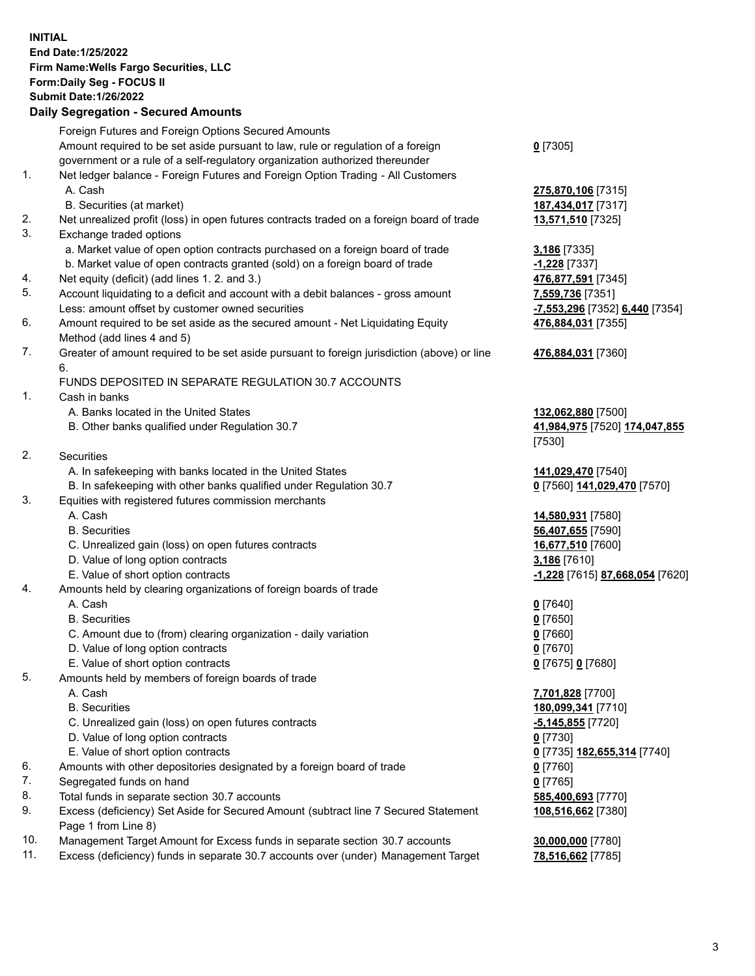**INITIAL End Date:1/25/2022 Firm Name:Wells Fargo Securities, LLC Form:Daily Seg - FOCUS II Submit Date:1/26/2022 Daily Segregation - Secured Amounts**

## Foreign Futures and Foreign Options Secured Amounts Amount required to be set aside pursuant to law, rule or regulation of a foreign government or a rule of a self-regulatory organization authorized thereunder 1. Net ledger balance - Foreign Futures and Foreign Option Trading - All Customers

- 
- B. Securities (at market) **187,434,017** [7317]
- 2. Net unrealized profit (loss) in open futures contracts traded on a foreign board of trade **13,571,510** [7325]
- 3. Exchange traded options
	- a. Market value of open option contracts purchased on a foreign board of trade **3,186** [7335]
	- b. Market value of open contracts granted (sold) on a foreign board of trade **-1,228** [7337]
- 4. Net equity (deficit) (add lines 1. 2. and 3.) **476,877,591** [7345]
- 5. Account liquidating to a deficit and account with a debit balances gross amount **7,559,736** [7351] Less: amount offset by customer owned securities **-7,553,296** [7352] **6,440** [7354]
- 6. Amount required to be set aside as the secured amount Net Liquidating Equity Method (add lines 4 and 5)
- 7. Greater of amount required to be set aside pursuant to foreign jurisdiction (above) or line 6.

## FUNDS DEPOSITED IN SEPARATE REGULATION 30.7 ACCOUNTS

- 1. Cash in banks
	- A. Banks located in the United States **132,062,880** [7500]
	- B. Other banks qualified under Regulation 30.7 **41,984,975** [7520] **174,047,855**
- 2. Securities
	- A. In safekeeping with banks located in the United States **141,029,470** [7540]
- B. In safekeeping with other banks qualified under Regulation 30.7 **0** [7560] **141,029,470** [7570]
- 3. Equities with registered futures commission merchants
	-
	-
	- C. Unrealized gain (loss) on open futures contracts **16,677,510** [7600]
	- D. Value of long option contracts **3,186** [7610]
	- E. Value of short option contracts **-1,228** [7615] **87,668,054** [7620]
- 4. Amounts held by clearing organizations of foreign boards of trade
	- A. Cash **0** [7640]
	- B. Securities **0** [7650]
	- C. Amount due to (from) clearing organization daily variation **0** [7660]
	- D. Value of long option contracts **0** [7670]
	- E. Value of short option contracts **0** [7675] **0** [7680]
- 5. Amounts held by members of foreign boards of trade
	-
	-
	- C. Unrealized gain (loss) on open futures contracts **-5,145,855** [7720]
	- D. Value of long option contracts **0** [7730]
	- E. Value of short option contracts **0** [7735] **182,655,314** [7740]
- 6. Amounts with other depositories designated by a foreign board of trade **0** [7760]
- 7. Segregated funds on hand **0** [7765]
- 8. Total funds in separate section 30.7 accounts **585,400,693** [7770]
- 9. Excess (deficiency) Set Aside for Secured Amount (subtract line 7 Secured Statement Page 1 from Line 8)
- 10. Management Target Amount for Excess funds in separate section 30.7 accounts **30,000,000** [7780]
- 11. Excess (deficiency) funds in separate 30.7 accounts over (under) Management Target **78,516,662** [7785]
- **0** [7305]
- A. Cash **275,870,106** [7315]
	- **476,884,031** [7355]
	- **476,884,031** [7360]
	- [7530]
	-
- A. Cash **14,580,931** [7580] B. Securities **56,407,655** [7590]
	-
- A. Cash **7,701,828** [7700] B. Securities **180,099,341** [7710] **108,516,662** [7380]
	-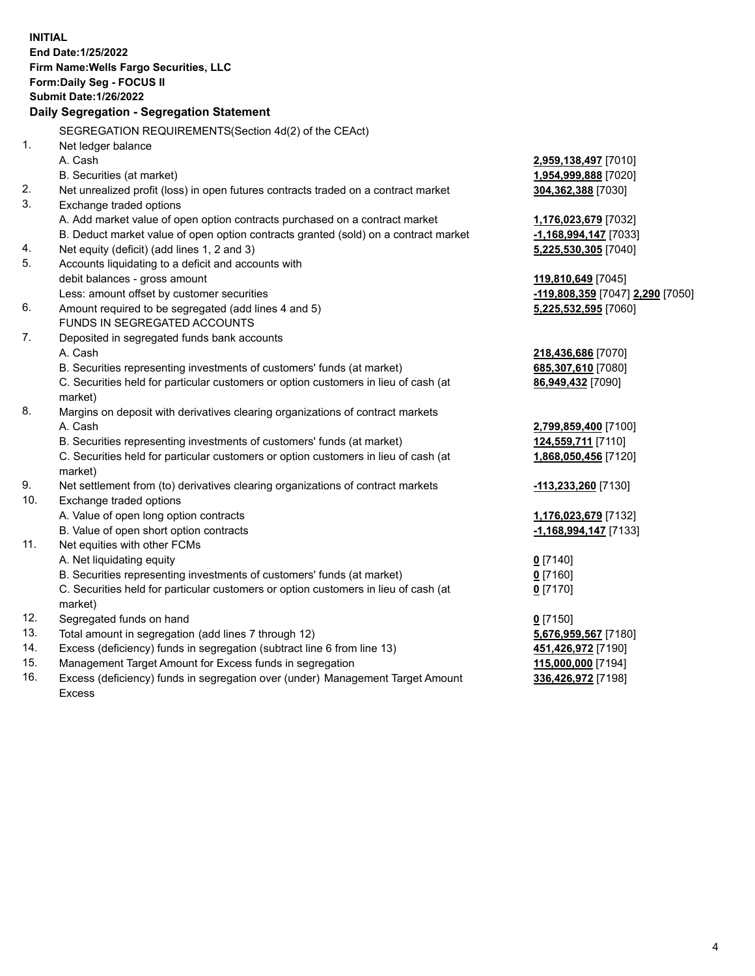**INITIAL End Date:1/25/2022 Firm Name:Wells Fargo Securities, LLC Form:Daily Seg - FOCUS II Submit Date:1/26/2022 Daily Segregation - Segregation Statement** SEGREGATION REQUIREMENTS(Section 4d(2) of the CEAct) 1. Net ledger balance A. Cash **2,959,138,497** [7010] B. Securities (at market) **1,954,999,888** [7020] 2. Net unrealized profit (loss) in open futures contracts traded on a contract market **304,362,388** [7030] 3. Exchange traded options A. Add market value of open option contracts purchased on a contract market **1,176,023,679** [7032] B. Deduct market value of open option contracts granted (sold) on a contract market **-1,168,994,147** [7033] 4. Net equity (deficit) (add lines 1, 2 and 3) **5,225,530,305** [7040] 5. Accounts liquidating to a deficit and accounts with debit balances - gross amount **119,810,649** [7045] Less: amount offset by customer securities **-119,808,359** [7047] **2,290** [7050] 6. Amount required to be segregated (add lines 4 and 5) **5,225,532,595** [7060] FUNDS IN SEGREGATED ACCOUNTS 7. Deposited in segregated funds bank accounts A. Cash **218,436,686** [7070] B. Securities representing investments of customers' funds (at market) **685,307,610** [7080] C. Securities held for particular customers or option customers in lieu of cash (at market) **86,949,432** [7090] 8. Margins on deposit with derivatives clearing organizations of contract markets A. Cash **2,799,859,400** [7100] B. Securities representing investments of customers' funds (at market) **124,559,711** [7110] C. Securities held for particular customers or option customers in lieu of cash (at market) **1,868,050,456** [7120] 9. Net settlement from (to) derivatives clearing organizations of contract markets **-113,233,260** [7130] 10. Exchange traded options A. Value of open long option contracts **1,176,023,679** [7132] B. Value of open short option contracts **-1,168,994,147** [7133] 11. Net equities with other FCMs A. Net liquidating equity **0** [7140] B. Securities representing investments of customers' funds (at market) **0** [7160] C. Securities held for particular customers or option customers in lieu of cash (at market) **0** [7170] 12. Segregated funds on hand **0** [7150] 13. Total amount in segregation (add lines 7 through 12) **5,676,959,567** [7180] 14. Excess (deficiency) funds in segregation (subtract line 6 from line 13) **451,426,972** [7190] 15. Management Target Amount for Excess funds in segregation **115,000,000** [7194] 16. Excess (deficiency) funds in segregation over (under) Management Target Amount **336,426,972** [7198]

Excess